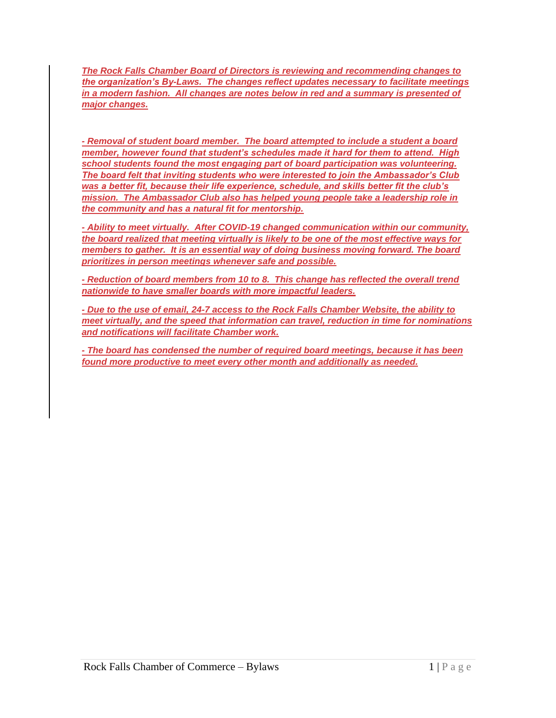*The Rock Falls Chamber Board of Directors is reviewing and recommending changes to the organization's By-Laws. The changes reflect updates necessary to facilitate meetings in a modern fashion. All changes are notes below in red and a summary is presented of major changes.* 

*- Removal of student board member. The board attempted to include a student a board member, however found that student's schedules made it hard for them to attend. High school students found the most engaging part of board participation was volunteering. The board felt that inviting students who were interested to join the Ambassador's Club was a better fit, because their life experience, schedule, and skills better fit the club's mission. The Ambassador Club also has helped young people take a leadership role in the community and has a natural fit for mentorship.*

*- Ability to meet virtually. After COVID-19 changed communication within our community, the board realized that meeting virtually is likely to be one of the most effective ways for members to gather. It is an essential way of doing business moving forward. The board prioritizes in person meetings whenever safe and possible.*

*- Reduction of board members from 10 to 8. This change has reflected the overall trend nationwide to have smaller boards with more impactful leaders.* 

*- Due to the use of email, 24-7 access to the Rock Falls Chamber Website, the ability to meet virtually, and the speed that information can travel, reduction in time for nominations and notifications will facilitate Chamber work.* 

*- The board has condensed the number of required board meetings, because it has been found more productive to meet every other month and additionally as needed.*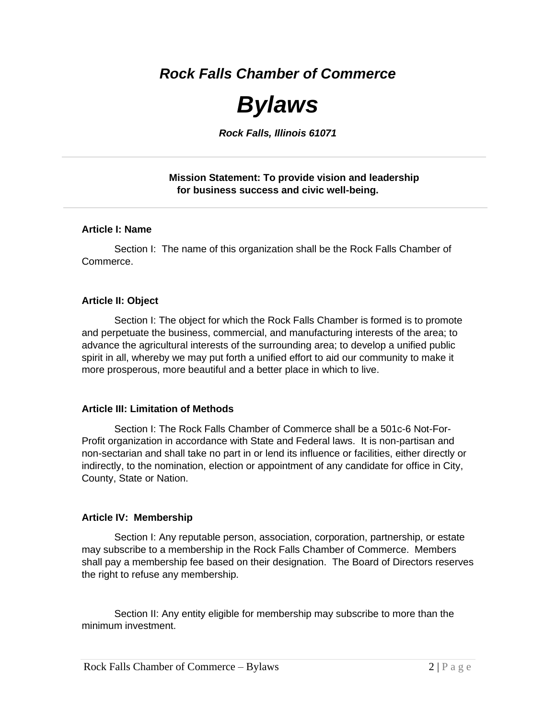*Rock Falls Chamber of Commerce*

# *Bylaws*

*Rock Falls, Illinois 61071*

# **Mission Statement: To provide vision and leadership for business success and civic well-being.**

# **Article I: Name**

Section I: The name of this organization shall be the Rock Falls Chamber of Commerce.

# **Article II: Object**

Section I: The object for which the Rock Falls Chamber is formed is to promote and perpetuate the business, commercial, and manufacturing interests of the area; to advance the agricultural interests of the surrounding area; to develop a unified public spirit in all, whereby we may put forth a unified effort to aid our community to make it more prosperous, more beautiful and a better place in which to live.

# **Article III: Limitation of Methods**

Section I: The Rock Falls Chamber of Commerce shall be a 501c-6 Not-For-Profit organization in accordance with State and Federal laws. It is non-partisan and non-sectarian and shall take no part in or lend its influence or facilities, either directly or indirectly, to the nomination, election or appointment of any candidate for office in City, County, State or Nation.

# **Article IV: Membership**

Section I: Any reputable person, association, corporation, partnership, or estate may subscribe to a membership in the Rock Falls Chamber of Commerce. Members shall pay a membership fee based on their designation. The Board of Directors reserves the right to refuse any membership.

Section II: Any entity eligible for membership may subscribe to more than the minimum investment.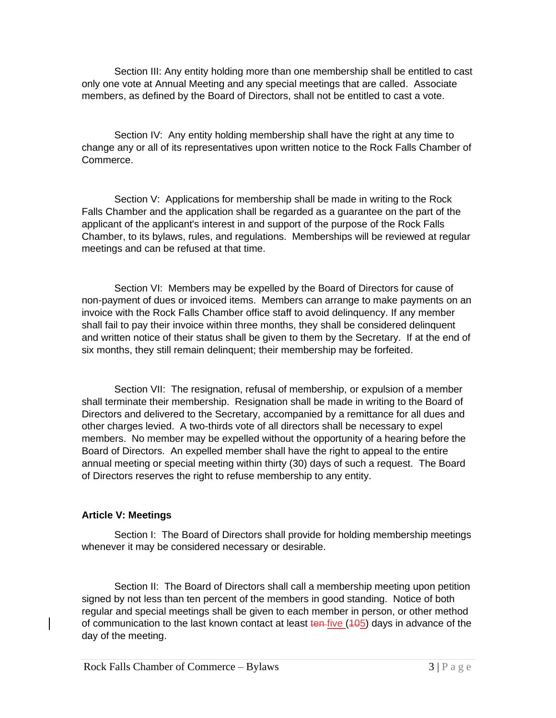Section III: Any entity holding more than one membership shall be entitled to cast only one vote at Annual Meeting and any special meetings that are called. Associate members, as defined by the Board of Directors, shall not be entitled to cast a vote.

Section IV: Any entity holding membership shall have the right at any time to change any or all of its representatives upon written notice to the Rock Falls Chamber of Commerce.

Section V: Applications for membership shall be made in writing to the Rock Falls Chamber and the application shall be regarded as a guarantee on the part of the applicant of the applicant's interest in and support of the purpose of the Rock Falls Chamber, to its bylaws, rules, and regulations. Memberships will be reviewed at regular meetings and can be refused at that time.

Section VI: Members may be expelled by the Board of Directors for cause of non-payment of dues or invoiced items. Members can arrange to make payments on an invoice with the Rock Falls Chamber office staff to avoid delinquency. If any member shall fail to pay their invoice within three months, they shall be considered delinquent and written notice of their status shall be given to them by the Secretary. If at the end of six months, they still remain delinquent; their membership may be forfeited.

Section VII: The resignation, refusal of membership, or expulsion of a member shall terminate their membership. Resignation shall be made in writing to the Board of Directors and delivered to the Secretary, accompanied by a remittance for all dues and other charges levied. A two-thirds vote of all directors shall be necessary to expel members. No member may be expelled without the opportunity of a hearing before the Board of Directors. An expelled member shall have the right to appeal to the entire annual meeting or special meeting within thirty (30) days of such a request. The Board of Directors reserves the right to refuse membership to any entity.

# **Article V: Meetings**

Section I: The Board of Directors shall provide for holding membership meetings whenever it may be considered necessary or desirable.

Section II: The Board of Directors shall call a membership meeting upon petition signed by not less than ten percent of the members in good standing. Notice of both regular and special meetings shall be given to each member in person, or other method of communication to the last known contact at least ton five (405) days in advance of the day of the meeting.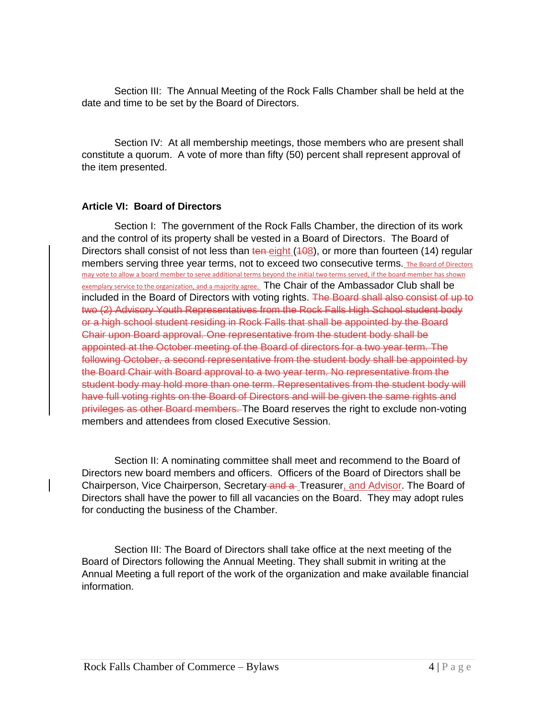Section III: The Annual Meeting of the Rock Falls Chamber shall be held at the date and time to be set by the Board of Directors.

Section IV: At all membership meetings, those members who are present shall constitute a quorum. A vote of more than fifty (50) percent shall represent approval of the item presented.

# **Article VI: Board of Directors**

Section I: The government of the Rock Falls Chamber, the direction of its work and the control of its property shall be vested in a Board of Directors. The Board of Directors shall consist of not less than ten eight (408), or more than fourteen (14) regular members serving three year terms, not to exceed two consecutive terms. The Board of Directors may vote to allow a board member to serve additional terms beyond the initial two terms served, if the board member has shown exemplary service to the organization, and a majority agree. The Chair of the Ambassador Club shall be included in the Board of Directors with voting rights. The Board shall also consist of up to two (2) Advisory Youth Representatives from the Rock Falls High School student body or a high school student residing in Rock Falls that shall be appointed by the Board Chair upon Board approval. One representative from the student body shall be appointed at the October meeting of the Board of directors for a two year term. The following October, a second representative from the student body shall be appointed by the Board Chair with Board approval to a two year term. No representative from the student body may hold more than one term. Representatives from the student body will have full voting rights on the Board of Directors and will be given the same rights and privileges as other Board members. The Board reserves the right to exclude non-voting members and attendees from closed Executive Session.

Section II: A nominating committee shall meet and recommend to the Board of Directors new board members and officers. Officers of the Board of Directors shall be Chairperson, Vice Chairperson, Secretary and a Treasurer, and Advisor. The Board of Directors shall have the power to fill all vacancies on the Board. They may adopt rules for conducting the business of the Chamber.

Section III: The Board of Directors shall take office at the next meeting of the Board of Directors following the Annual Meeting. They shall submit in writing at the Annual Meeting a full report of the work of the organization and make available financial information.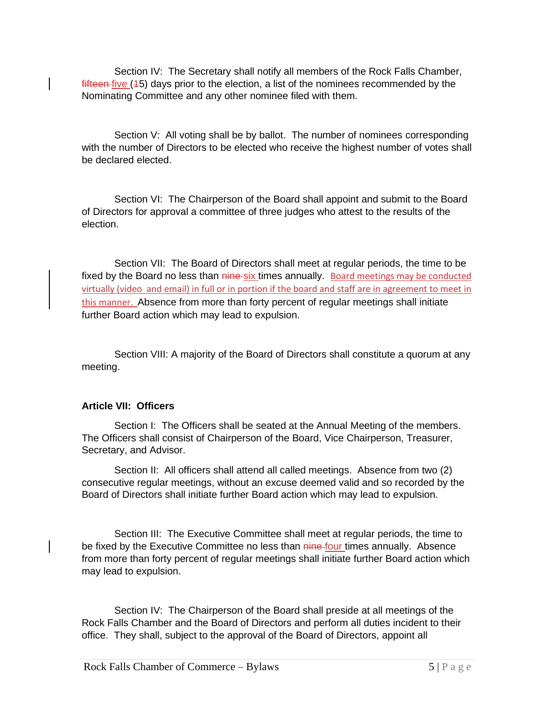Section IV: The Secretary shall notify all members of the Rock Falls Chamber, fifteen five (45) days prior to the election, a list of the nominees recommended by the Nominating Committee and any other nominee filed with them.

Section V: All voting shall be by ballot. The number of nominees corresponding with the number of Directors to be elected who receive the highest number of votes shall be declared elected.

Section VI: The Chairperson of the Board shall appoint and submit to the Board of Directors for approval a committee of three judges who attest to the results of the election.

Section VII: The Board of Directors shall meet at regular periods, the time to be fixed by the Board no less than nine-six times annually. Board meetings may be conducted virtually (video and email) in full or in portion if the board and staff are in agreement to meet in this manner. Absence from more than forty percent of regular meetings shall initiate further Board action which may lead to expulsion.

Section VIII: A majority of the Board of Directors shall constitute a quorum at any meeting.

# **Article VII: Officers**

Section I: The Officers shall be seated at the Annual Meeting of the members. The Officers shall consist of Chairperson of the Board, Vice Chairperson, Treasurer, Secretary, and Advisor.

Section II: All officers shall attend all called meetings. Absence from two (2) consecutive regular meetings, without an excuse deemed valid and so recorded by the Board of Directors shall initiate further Board action which may lead to expulsion.

Section III: The Executive Committee shall meet at regular periods, the time to be fixed by the Executive Committee no less than nine-four times annually. Absence from more than forty percent of regular meetings shall initiate further Board action which may lead to expulsion.

Section IV: The Chairperson of the Board shall preside at all meetings of the Rock Falls Chamber and the Board of Directors and perform all duties incident to their office. They shall, subject to the approval of the Board of Directors, appoint all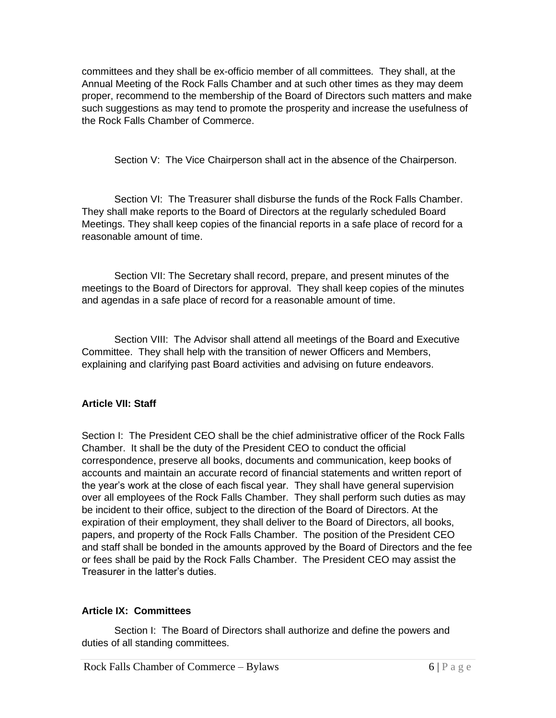committees and they shall be ex-officio member of all committees. They shall, at the Annual Meeting of the Rock Falls Chamber and at such other times as they may deem proper, recommend to the membership of the Board of Directors such matters and make such suggestions as may tend to promote the prosperity and increase the usefulness of the Rock Falls Chamber of Commerce.

Section V: The Vice Chairperson shall act in the absence of the Chairperson.

Section VI: The Treasurer shall disburse the funds of the Rock Falls Chamber. They shall make reports to the Board of Directors at the regularly scheduled Board Meetings. They shall keep copies of the financial reports in a safe place of record for a reasonable amount of time.

Section VII: The Secretary shall record, prepare, and present minutes of the meetings to the Board of Directors for approval. They shall keep copies of the minutes and agendas in a safe place of record for a reasonable amount of time.

Section VIII: The Advisor shall attend all meetings of the Board and Executive Committee. They shall help with the transition of newer Officers and Members, explaining and clarifying past Board activities and advising on future endeavors.

# **Article VII: Staff**

Section I: The President CEO shall be the chief administrative officer of the Rock Falls Chamber. It shall be the duty of the President CEO to conduct the official correspondence, preserve all books, documents and communication, keep books of accounts and maintain an accurate record of financial statements and written report of the year's work at the close of each fiscal year. They shall have general supervision over all employees of the Rock Falls Chamber. They shall perform such duties as may be incident to their office, subject to the direction of the Board of Directors. At the expiration of their employment, they shall deliver to the Board of Directors, all books, papers, and property of the Rock Falls Chamber. The position of the President CEO and staff shall be bonded in the amounts approved by the Board of Directors and the fee or fees shall be paid by the Rock Falls Chamber. The President CEO may assist the Treasurer in the latter's duties.

# **Article IX: Committees**

Section I: The Board of Directors shall authorize and define the powers and duties of all standing committees.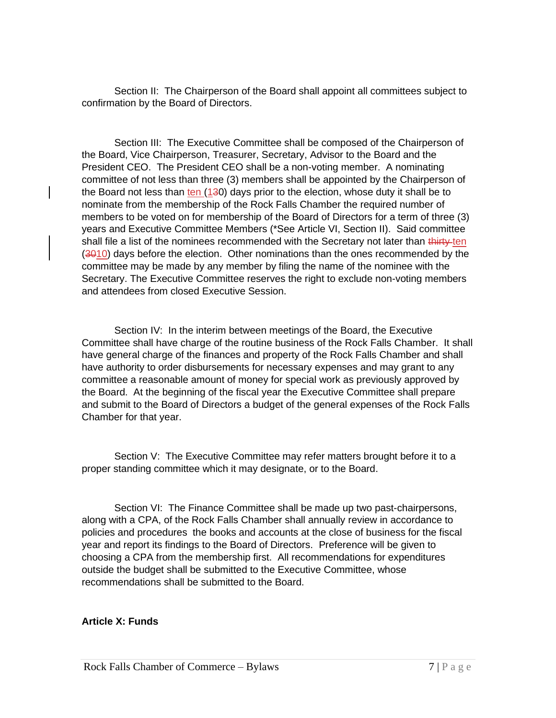Section II: The Chairperson of the Board shall appoint all committees subject to confirmation by the Board of Directors.

Section III: The Executive Committee shall be composed of the Chairperson of the Board, Vice Chairperson, Treasurer, Secretary, Advisor to the Board and the President CEO. The President CEO shall be a non-voting member. A nominating committee of not less than three (3) members shall be appointed by the Chairperson of the Board not less than ten (130) days prior to the election, whose duty it shall be to nominate from the membership of the Rock Falls Chamber the required number of members to be voted on for membership of the Board of Directors for a term of three (3) years and Executive Committee Members (\*See Article VI, Section II). Said committee shall file a list of the nominees recommended with the Secretary not later than thirty-ten  $(3010)$  days before the election. Other nominations than the ones recommended by the committee may be made by any member by filing the name of the nominee with the Secretary. The Executive Committee reserves the right to exclude non-voting members and attendees from closed Executive Session.

Section IV: In the interim between meetings of the Board, the Executive Committee shall have charge of the routine business of the Rock Falls Chamber. It shall have general charge of the finances and property of the Rock Falls Chamber and shall have authority to order disbursements for necessary expenses and may grant to any committee a reasonable amount of money for special work as previously approved by the Board. At the beginning of the fiscal year the Executive Committee shall prepare and submit to the Board of Directors a budget of the general expenses of the Rock Falls Chamber for that year.

Section V: The Executive Committee may refer matters brought before it to a proper standing committee which it may designate, or to the Board.

Section VI: The Finance Committee shall be made up two past-chairpersons, along with a CPA, of the Rock Falls Chamber shall annually review in accordance to policies and procedures the books and accounts at the close of business for the fiscal year and report its findings to the Board of Directors. Preference will be given to choosing a CPA from the membership first. All recommendations for expenditures outside the budget shall be submitted to the Executive Committee, whose recommendations shall be submitted to the Board.

# **Article X: Funds**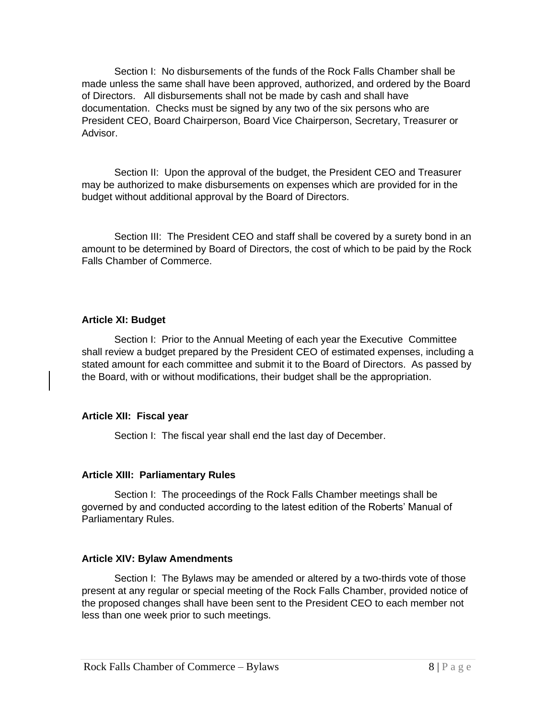Section I: No disbursements of the funds of the Rock Falls Chamber shall be made unless the same shall have been approved, authorized, and ordered by the Board of Directors. All disbursements shall not be made by cash and shall have documentation. Checks must be signed by any two of the six persons who are President CEO, Board Chairperson, Board Vice Chairperson, Secretary, Treasurer or Advisor.

Section II: Upon the approval of the budget, the President CEO and Treasurer may be authorized to make disbursements on expenses which are provided for in the budget without additional approval by the Board of Directors.

Section III: The President CEO and staff shall be covered by a surety bond in an amount to be determined by Board of Directors, the cost of which to be paid by the Rock Falls Chamber of Commerce.

#### **Article XI: Budget**

Section I: Prior to the Annual Meeting of each year the Executive Committee shall review a budget prepared by the President CEO of estimated expenses, including a stated amount for each committee and submit it to the Board of Directors. As passed by the Board, with or without modifications, their budget shall be the appropriation.

# **Article XII: Fiscal year**

Section I: The fiscal year shall end the last day of December.

# **Article XIII: Parliamentary Rules**

Section I: The proceedings of the Rock Falls Chamber meetings shall be governed by and conducted according to the latest edition of the Roberts' Manual of Parliamentary Rules.

# **Article XIV: Bylaw Amendments**

Section I: The Bylaws may be amended or altered by a two-thirds vote of those present at any regular or special meeting of the Rock Falls Chamber, provided notice of the proposed changes shall have been sent to the President CEO to each member not less than one week prior to such meetings.